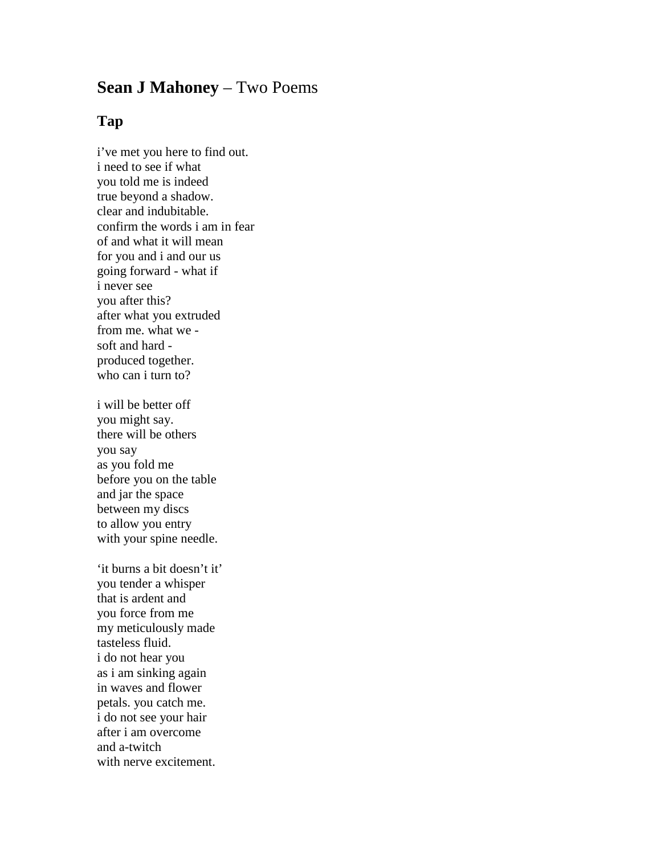## **Sean J Mahoney** – Two Poems

## **Tap**

i've met you here to find out. i need to see if what you told me is indeed true beyond a shadow. clear and indubitable. confirm the words i am in fear of and what it will mean for you and i and our us going forward - what if i never see you after this? after what you extruded from me. what we soft and hard produced together. who can i turn to?

i will be better off you might say. there will be others you say as you fold me before you on the table and jar the space between my discs to allow you entry with your spine needle.

'it burns a bit doesn't it' you tender a whisper that is ardent and you force from me my meticulously made tasteless fluid. i do not hear you as i am sinking again in waves and flower petals. you catch me. i do not see your hair after i am overcome and a-twitch with nerve excitement.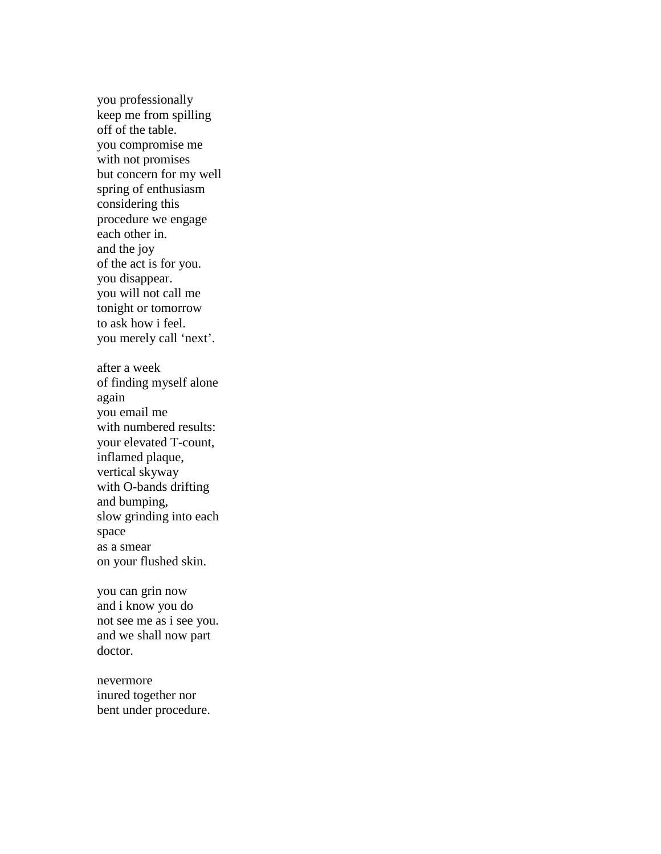you professionally keep me from spilling off of the table. you compromise me with not promises but concern for my well spring of enthusiasm considering this procedure we engage each other in. and the joy of the act is for you. you disappear. you will not call me tonight or tomorrow to ask how i feel. you merely call 'next'. after a week of finding myself alone again you email me with numbered results: your elevated T-count, inflamed plaque, vertical skyway with O-bands drifting and bumping, slow grinding into each space as a smear on your flushed skin.

you can grin now and i know you do not see me as i see you. and we shall now part doctor.

nevermore inured together nor bent under procedure.